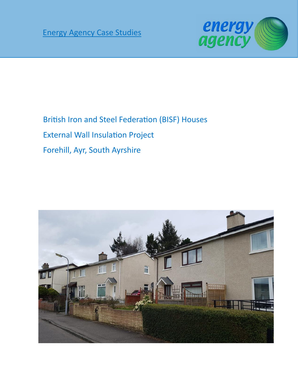

British Iron and Steel Federation (BISF) Houses

External Wall Insulation Project

Forehill, Ayr, South Ayrshire

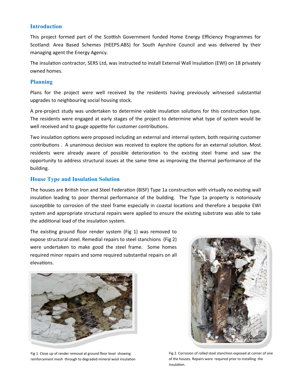### **Introduction**

This project formed part of the Scottish Government funded Home Energy Efficiency Programmes for Scotland: Area Based Schemes (HEEPS:ABS) for South Ayrshire Council and was delivered by their managing agent the Energy Agency.

The insulation contractor, SERS Ltd, was instructed to install External Wall Insulation (EWI) on 18 privately owned homes.

### **Planning**

Plans for the project were well received by the residents having previously witnessed substantial upgrades to neighbouring social housing stock.

A pre-project study was undertaken to determine viable insulation solutions for this construction type. The residents were engaged at early stages of the project to determine what type of system would be well received and to gauge appetite for customer contributions.

Two insulation options were proposed including an external and internal system, both requiring customer contributions . A unanimous decision was received to explore the options for an external solution. Most residents were already aware of possible deterioration to the existing steel frame and saw the opportunity to address structural issues at the same time as improving the thermal performance of the building.

## **House Type and Insulation Solution**

The houses are British Iron and Steel Federation (BISF) Type 1a construction with virtually no existing wall insulation leading to poor thermal performance of the building. The Type 1a property is notoriously susceptible to corrosion of the steel frame especially in coastal locations and therefore a bespoke EWI system and appropriate structural repairs were applied to ensure the existing substrate was able to take the additional load of the insulation system.

The existing ground floor render system (Fig 1) was removed to expose structural steel. Remedial repairs to steel stanchions (Fig 2) were undertaken to make good the steel frame. Some homes required minor repairs and some required substantial repairs on all elevations.



Fig 1. Close up of render removal at ground floor level showing reinforcement mesh through to degraded mineral wool insulation



Fig 2. Corrosion of rolled steel stanchion exposed at corner of one of the houses. Repairs were required prior to installing the insulation.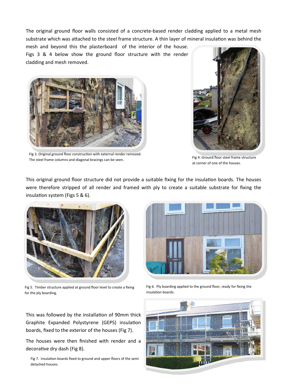The original ground floor walls consisted of a concrete-based render cladding applied to a metal mesh substrate which was attached to the steel frame structure. A thin layer of mineral insulation was behind the

mesh and beyond this the plasterboard of the interior of the house. Figs 3 & 4 below show the ground floor structure with the render cladding and mesh removed.



Fig 3. Original ground floor construction with external render removed. The steel frame columns and diagonal bracings can be seen.<br>The steel frame columns and diagonal bracings can be seen.



at corner of one of the houses.

This original ground floor structure did not provide a suitable fixing for the insulation boards. The houses were therefore stripped of all render and framed with ply to create a suitable substrate for fixing the insulation system (Figs 5 & 6).



Fig 5. Timber structure applied at ground floor level to create a fixing for the ply boarding.



Fig 6. Ply boarding applied to the ground floor, ready for fixing the insulation boards.

This was followed by the installation of 90mm thick Graphite Expanded Polystyrene (GEPS) insulation boards, fixed to the exterior of the houses (Fig 7).

The houses were then finished with render and a decorative dry dash (Fig 8).

Fig 7. Insulation boards fixed to ground and upper floors of the semi detached houses.

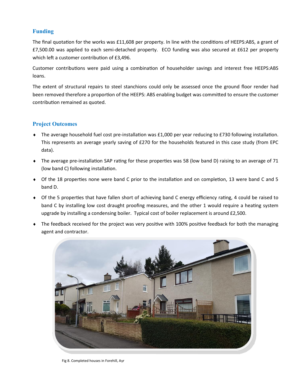# **Funding**

The final quotation for the works was £11,608 per property. In line with the conditions of HEEPS:ABS, a grant of £7,500.00 was applied to each semi-detached property. ECO funding was also secured at £612 per property which left a customer contribution of £3,496.

Customer contributions were paid using a combination of householder savings and interest free HEEPS:ABS loans.

The extent of structural repairs to steel stanchions could only be assessed once the ground floor render had been removed therefore a proportion of the HEEPS: ABS enabling budget was committed to ensure the customer contribution remained as quoted.

## **Project Outcomes**

- ◆ The average household fuel cost pre-installation was £1,000 per year reducing to £730 following installation. This represents an average yearly saving of £270 for the households featured in this case study (from EPC data).
- The average pre-installation SAP rating for these properties was 58 (low band D) raising to an average of 71 (low band C) following installation.
- Of the 18 properties none were band C prior to the installation and on completion, 13 were band C and 5 band D.
- Of the 5 properties that have fallen short of achieving band C energy efficiency rating, 4 could be raised to band C by installing low cost draught proofing measures, and the other 1 would require a heating system upgrade by installing a condensing boiler. Typical cost of boiler replacement is around £2,500.
- The feedback received for the project was very positive with 100% positive feedback for both the managing agent and contractor.



Fig 8. Completed houses in Forehill, Ayr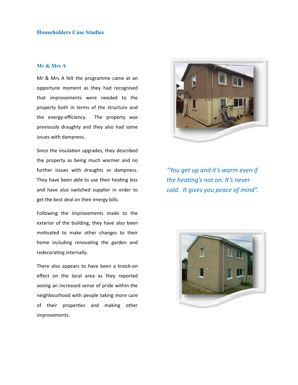## **Householders Case Studies**

#### **Mr & Mrs A**

Mr & Mrs A felt the programme came at an opportune moment as they had recognised that improvements were needed to the property both in terms of the structure and the energy-efficiency. The property was previously draughty and they also had some issues with dampness.

Since the insulation upgrades, they described the property as being much warmer and no further issues with draughts or dampness. They have been able to use their heating less and have also switched supplier in order to get the best deal on their energy bills.

Following the improvements made to the exterior of the building, they have also been motivated to make other changes to their home including renovating the garden and redecorating internally.

There also appears to have been a knock-on effect on the local area as they reported seeing an increased sense of pride within the neighbourhood with people taking more care of their properties and making other improvements.



*"You get up and it's warm even if the heating's not on. It's never cold. It gives you peace of mind".*